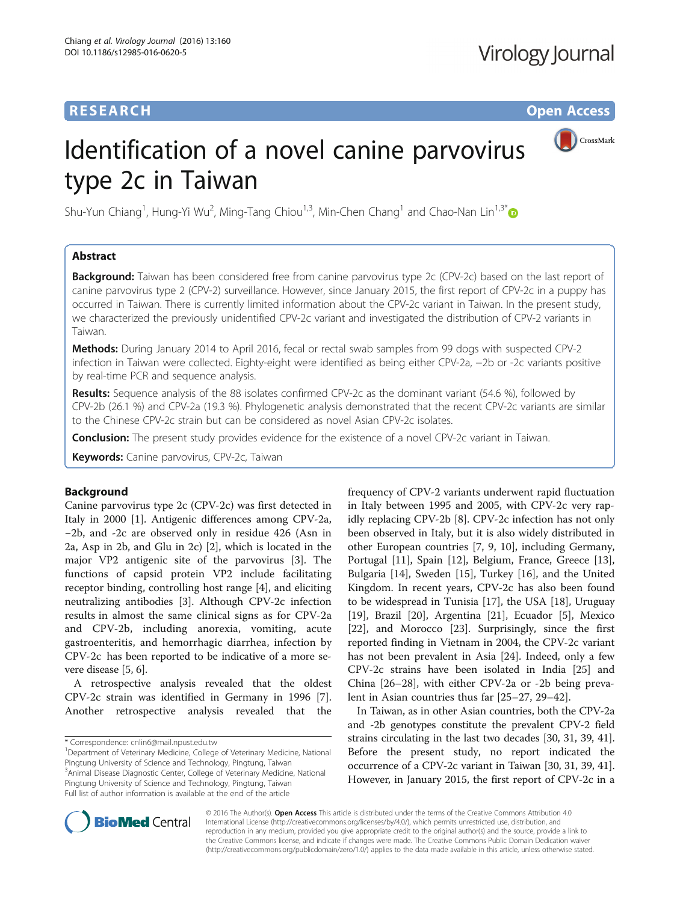# **RESEARCH CHE Open Access**

CrossMark

# Identification of a novel canine parvovirus type 2c in Taiwan

Shu-Yun Chiang<sup>1</sup>, Hung-Yi Wu<sup>2</sup>, Ming-Tang Chiou<sup>1,3</sup>, Min-Chen Chang<sup>1</sup> and Chao-Nan Lin<sup>1,3[\\*](http://orcid.org/0000-0003-1911-7535)</sup>

# Abstract

**Background:** Taiwan has been considered free from canine parvovirus type 2c (CPV-2c) based on the last report of canine parvovirus type 2 (CPV-2) surveillance. However, since January 2015, the first report of CPV-2c in a puppy has occurred in Taiwan. There is currently limited information about the CPV-2c variant in Taiwan. In the present study, we characterized the previously unidentified CPV-2c variant and investigated the distribution of CPV-2 variants in Taiwan.

Methods: During January 2014 to April 2016, fecal or rectal swab samples from 99 dogs with suspected CPV-2 infection in Taiwan were collected. Eighty-eight were identified as being either CPV-2a, −2b or -2c variants positive by real-time PCR and sequence analysis.

Results: Sequence analysis of the 88 isolates confirmed CPV-2c as the dominant variant (54.6 %), followed by CPV-2b (26.1 %) and CPV-2a (19.3 %). Phylogenetic analysis demonstrated that the recent CPV-2c variants are similar to the Chinese CPV-2c strain but can be considered as novel Asian CPV-2c isolates.

**Conclusion:** The present study provides evidence for the existence of a novel CPV-2c variant in Taiwan.

Keywords: Canine parvovirus, CPV-2c, Taiwan

# Background

Canine parvovirus type 2c (CPV-2c) was first detected in Italy in 2000 [\[1\]](#page-5-0). Antigenic differences among CPV-2a, −2b, and -2c are observed only in residue 426 (Asn in 2a, Asp in 2b, and Glu in 2c) [[2\]](#page-5-0), which is located in the major VP2 antigenic site of the parvovirus [\[3](#page-5-0)]. The functions of capsid protein VP2 include facilitating receptor binding, controlling host range [[4\]](#page-5-0), and eliciting neutralizing antibodies [[3\]](#page-5-0). Although CPV-2c infection results in almost the same clinical signs as for CPV-2a and CPV-2b, including anorexia, vomiting, acute gastroenteritis, and hemorrhagic diarrhea, infection by CPV-2c has been reported to be indicative of a more severe disease [[5, 6](#page-5-0)].

A retrospective analysis revealed that the oldest CPV-2c strain was identified in Germany in 1996 [\[7](#page-5-0)]. Another retrospective analysis revealed that the

<sup>1</sup>Department of Veterinary Medicine, College of Veterinary Medicine, National Pingtung University of Science and Technology, Pingtung, Taiwan <sup>3</sup> Animal Disease Diagnostic Center, College of Veterinary Medicine, National Pingtung University of Science and Technology, Pingtung, Taiwan Full list of author information is available at the end of the article

frequency of CPV-2 variants underwent rapid fluctuation in Italy between 1995 and 2005, with CPV-2c very rapidly replacing CPV-2b [\[8](#page-5-0)]. CPV-2c infection has not only been observed in Italy, but it is also widely distributed in other European countries [\[7](#page-5-0), [9, 10](#page-5-0)], including Germany, Portugal [\[11](#page-5-0)], Spain [\[12](#page-5-0)], Belgium, France, Greece [\[13](#page-5-0)], Bulgaria [\[14\]](#page-5-0), Sweden [\[15\]](#page-5-0), Turkey [\[16](#page-5-0)], and the United Kingdom. In recent years, CPV-2c has also been found to be widespread in Tunisia [[17](#page-5-0)], the USA [\[18](#page-5-0)], Uruguay [[19\]](#page-5-0), Brazil [\[20](#page-5-0)], Argentina [[21\]](#page-5-0), Ecuador [[5\]](#page-5-0), Mexico [[22\]](#page-5-0), and Morocco [\[23](#page-5-0)]. Surprisingly, since the first reported finding in Vietnam in 2004, the CPV-2c variant has not been prevalent in Asia [[24](#page-5-0)]. Indeed, only a few CPV-2c strains have been isolated in India [[25\]](#page-6-0) and China [\[26](#page-6-0)–[28\]](#page-6-0), with either CPV-2a or -2b being prevalent in Asian countries thus far [[25](#page-6-0)–[27](#page-6-0), [29](#page-6-0)–[42\]](#page-6-0).

In Taiwan, as in other Asian countries, both the CPV-2a and -2b genotypes constitute the prevalent CPV-2 field strains circulating in the last two decades [\[30, 31](#page-6-0), [39](#page-6-0), [41](#page-6-0)]. Before the present study, no report indicated the occurrence of a CPV-2c variant in Taiwan [[30, 31](#page-6-0), [39, 41](#page-6-0)]. However, in January 2015, the first report of CPV-2c in a



© 2016 The Author(s). Open Access This article is distributed under the terms of the Creative Commons Attribution 4.0 International License [\(http://creativecommons.org/licenses/by/4.0/](http://creativecommons.org/licenses/by/4.0/)), which permits unrestricted use, distribution, and reproduction in any medium, provided you give appropriate credit to the original author(s) and the source, provide a link to the Creative Commons license, and indicate if changes were made. The Creative Commons Public Domain Dedication waiver [\(http://creativecommons.org/publicdomain/zero/1.0/](http://creativecommons.org/publicdomain/zero/1.0/)) applies to the data made available in this article, unless otherwise stated.

<sup>\*</sup> Correspondence: [cnlin6@mail.npust.edu.tw](mailto:cnlin6@mail.npust.edu.tw) <sup>1</sup>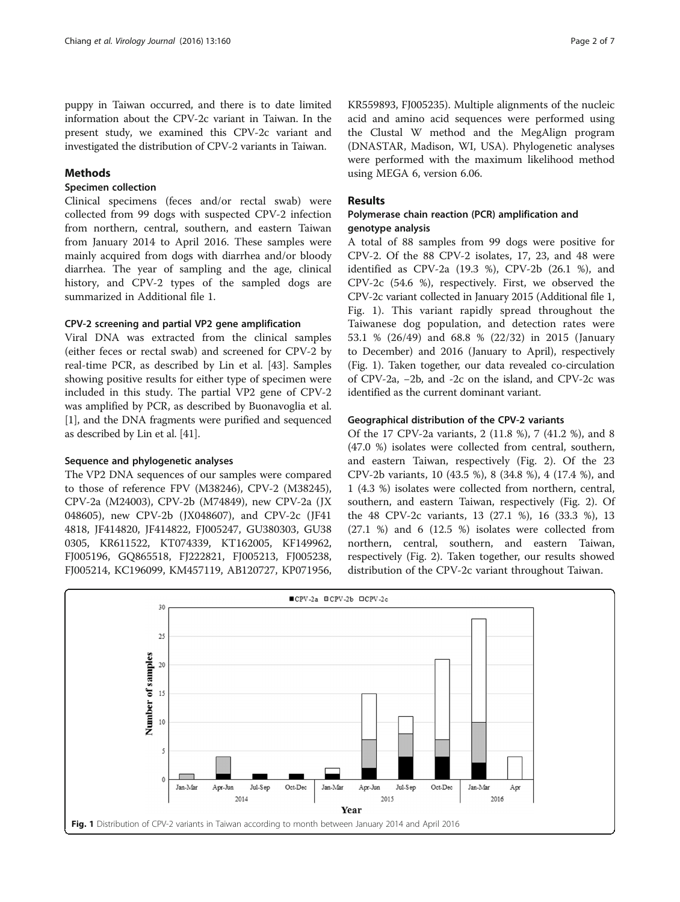puppy in Taiwan occurred, and there is to date limited information about the CPV-2c variant in Taiwan. In the present study, we examined this CPV-2c variant and investigated the distribution of CPV-2 variants in Taiwan.

## Methods

## Specimen collection

Clinical specimens (feces and/or rectal swab) were collected from 99 dogs with suspected CPV-2 infection from northern, central, southern, and eastern Taiwan from January 2014 to April 2016. These samples were mainly acquired from dogs with diarrhea and/or bloody diarrhea. The year of sampling and the age, clinical history, and CPV-2 types of the sampled dogs are summarized in Additional file [1.](#page-5-0)

### CPV-2 screening and partial VP2 gene amplification

Viral DNA was extracted from the clinical samples (either feces or rectal swab) and screened for CPV-2 by real-time PCR, as described by Lin et al. [[43\]](#page-6-0). Samples showing positive results for either type of specimen were included in this study. The partial VP2 gene of CPV-2 was amplified by PCR, as described by Buonavoglia et al. [[1\]](#page-5-0), and the DNA fragments were purified and sequenced as described by Lin et al. [\[41](#page-6-0)].

### Sequence and phylogenetic analyses

The VP2 DNA sequences of our samples were compared to those of reference FPV (M38246), CPV-2 (M38245), CPV-2a (M24003), CPV-2b (M74849), new CPV-2a (JX 048605), new CPV-2b (JX048607), and CPV-2c (JF41 4818, JF414820, JF414822, FJ005247, GU380303, GU38 0305, KR611522, KT074339, KT162005, KF149962, FJ005196, GQ865518, FJ222821, FJ005213, FJ005238, FJ005214, KC196099, KM457119, AB120727, KP071956,

KR559893, FJ005235). Multiple alignments of the nucleic acid and amino acid sequences were performed using the Clustal W method and the MegAlign program (DNASTAR, Madison, WI, USA). Phylogenetic analyses were performed with the maximum likelihood method using MEGA 6, version 6.06.

## Results

## Polymerase chain reaction (PCR) amplification and genotype analysis

A total of 88 samples from 99 dogs were positive for CPV-2. Of the 88 CPV-2 isolates, 17, 23, and 48 were identified as CPV-2a (19.3 %), CPV-2b (26.1 %), and CPV-2c (54.6 %), respectively. First, we observed the CPV-2c variant collected in January 2015 (Additional file [1](#page-5-0), Fig. 1). This variant rapidly spread throughout the Taiwanese dog population, and detection rates were 53.1 % (26/49) and 68.8 % (22/32) in 2015 (January to December) and 2016 (January to April), respectively (Fig. 1). Taken together, our data revealed co-circulation of CPV-2a, −2b, and -2c on the island, and CPV-2c was identified as the current dominant variant.

### Geographical distribution of the CPV-2 variants

Of the 17 CPV-2a variants, 2 (11.8 %), 7 (41.2 %), and 8 (47.0 %) isolates were collected from central, southern, and eastern Taiwan, respectively (Fig. [2](#page-2-0)). Of the 23 CPV-2b variants, 10 (43.5 %), 8 (34.8 %), 4 (17.4 %), and 1 (4.3 %) isolates were collected from northern, central, southern, and eastern Taiwan, respectively (Fig. [2\)](#page-2-0). Of the 48 CPV-2c variants, 13 (27.1 %), 16 (33.3 %), 13 (27.1 %) and 6 (12.5 %) isolates were collected from northern, central, southern, and eastern Taiwan, respectively (Fig. [2\)](#page-2-0). Taken together, our results showed distribution of the CPV-2c variant throughout Taiwan.

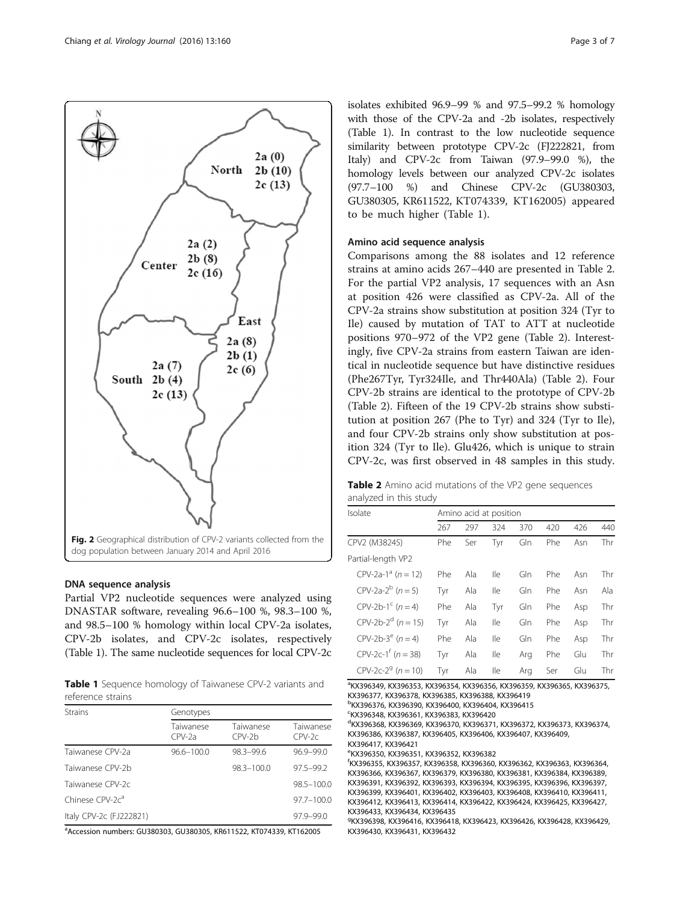<span id="page-2-0"></span>

## DNA sequence analysis

Partial VP2 nucleotide sequences were analyzed using DNASTAR software, revealing 96.6–100 %, 98.3–100 %, and 98.5–100 % homology within local CPV-2a isolates, CPV-2b isolates, and CPV-2c isolates, respectively (Table 1). The same nucleotide sequences for local CPV-2c

Table 1 Sequence homology of Taiwanese CPV-2 variants and reference strains

| <b>Strains</b>              | Genotypes             |                     |                       |  |  |  |  |
|-----------------------------|-----------------------|---------------------|-----------------------|--|--|--|--|
|                             | Taiwanese<br>$CPV-2a$ | Taiwanese<br>CPV-2b | Taiwanese<br>$CPV-2c$ |  |  |  |  |
| Taiwanese CPV-2a            | $96.6 - 100.0$        | 98.3-99.6           | $96.9 - 99.0$         |  |  |  |  |
| Taiwanese CPV-2b            |                       | $98.3 - 100.0$      | $97.5 - 99.2$         |  |  |  |  |
| Taiwanese CPV-2c            |                       |                     | $98.5 - 100.0$        |  |  |  |  |
| Chinese CPV-2c <sup>a</sup> |                       |                     | $97.7 - 100.0$        |  |  |  |  |
| Italy CPV-2c (FJ222821)     |                       |                     | $97.9 - 99.0$         |  |  |  |  |

a Accession numbers: GU380303, GU380305, KR611522, KT074339, KT162005

isolates exhibited 96.9–99 % and 97.5–99.2 % homology with those of the CPV-2a and -2b isolates, respectively (Table 1). In contrast to the low nucleotide sequence similarity between prototype CPV-2c (FJ222821, from Italy) and CPV-2c from Taiwan (97.9–99.0 %), the homology levels between our analyzed CPV-2c isolates (97.7–100 %) and Chinese CPV-2c (GU380303, GU380305, KR611522, KT074339, KT162005) appeared to be much higher (Table 1).

#### Amino acid sequence analysis

Comparisons among the 88 isolates and 12 reference strains at amino acids 267–440 are presented in Table 2. For the partial VP2 analysis, 17 sequences with an Asn at position 426 were classified as CPV-2a. All of the CPV-2a strains show substitution at position 324 (Tyr to Ile) caused by mutation of TAT to ATT at nucleotide positions 970–972 of the VP2 gene (Table 2). Interestingly, five CPV-2a strains from eastern Taiwan are identical in nucleotide sequence but have distinctive residues (Phe267Tyr, Tyr324Ile, and Thr440Ala) (Table 2). Four CPV-2b strains are identical to the prototype of CPV-2b (Table 2). Fifteen of the 19 CPV-2b strains show substitution at position 267 (Phe to Tyr) and 324 (Tyr to Ile), and four CPV-2b strains only show substitution at position 324 (Tyr to Ile). Glu426, which is unique to strain CPV-2c, was first observed in 48 samples in this study.

Table 2 Amino acid mutations of the VP2 gene sequences analyzed in this study

| Isolate                            | Amino acid at position |     |     |     |     |     |     |
|------------------------------------|------------------------|-----|-----|-----|-----|-----|-----|
|                                    | 267                    | 297 | 324 | 370 | 420 | 426 | 440 |
| CPV2 (M38245)                      | Phe                    | Ser | Tyr | Gln | Phe | Asn | Thr |
| Partial-length VP2                 |                        |     |     |     |     |     |     |
| CPV-2a-1 <sup>a</sup> $(n = 12)$   | Phe                    | Ala | lle | Gln | Phe | Asn | Thr |
| CPV-2a-2 <sup>b</sup> $(n = 5)$    | Tyr                    | Ala | lle | Gln | Phe | Asn | Ala |
| $CPV-2b-1^c$ (n = 4)               | Phe                    | Ala | Tyr | Gln | Phe | Asp | Thr |
| CPV-2b-2 <sup>d</sup> $(n = 15)$   | Tyr                    | Ala | lle | Gln | Phe | Asp | Thr |
| $CPV-2b-3^e$ (n = 4)               | Phe                    | Ala | lle | Gln | Phe | Asp | Thr |
| CPV-2c-1 <sup>f</sup> ( $n = 38$ ) | Tyr                    | Ala | lle | Arg | Phe | Glu | Thr |
| CPV-2c-2 <sup>9</sup> $(n = 10)$   | Tyr                    | Ala | lle | Arg | Ser | Glu | Thr |

a KX396349, KX396353, KX396354, KX396356, KX396359, KX396365, KX396375, KX396377, KX396378, KX396385, KX396388, KX396419 b KX396376, KX396390, KX396400, KX396404, KX396415 c KX396348, KX396361, KX396383, KX396420 d KX396368, KX396369, KX396370, KX396371, KX396372, KX396373, KX396374, KX396386, KX396387, KX396405, KX396406, KX396407, KX396409, KX396417, KX396421 e KX396350, KX396351, KX396352, KX396382 f KX396355, KX396357, KX396358, KX396360, KX396362, KX396363, KX396364, KX396366, KX396367, KX396379, KX396380, KX396381, KX396384, KX396389, KX396391, KX396392, KX396393, KX396394, KX396395, KX396396, KX396397, KX396399, KX396401, KX396402, KX396403, KX396408, KX396410, KX396411, KX396412, KX396413, KX396414, KX396422, KX396424, KX396425, KX396427, KX396433, KX396434, KX396435 g KX396398, KX396416, KX396418, KX396423, KX396426, KX396428, KX396429,

KX396430, KX396431, KX396432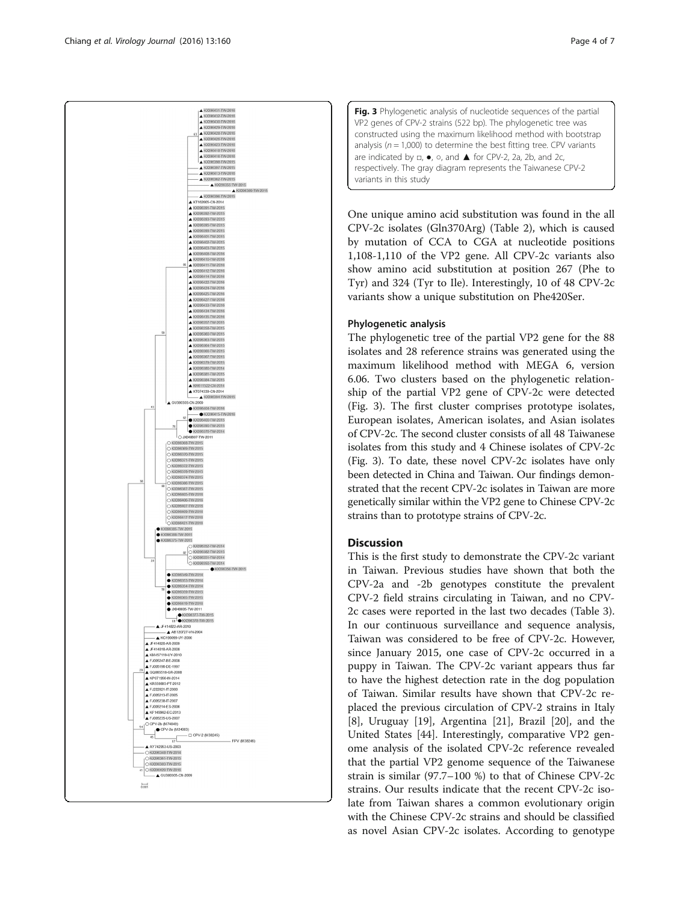<span id="page-3-0"></span>

Fig. 3 Phylogenetic analysis of nucleotide sequences of the partial VP2 genes of CPV-2 strains (522 bp). The phylogenetic tree was constructed using the maximum likelihood method with bootstrap analysis ( $n = 1,000$ ) to determine the best fitting tree. CPV variants are indicated by □, ●, ○, and ▲ for CPV-2, 2a, 2b, and 2c, respectively. The gray diagram represents the Taiwanese CPV-2 variants in this study

One unique amino acid substitution was found in the all CPV-2c isolates (Gln370Arg) (Table [2](#page-2-0)), which is caused by mutation of CCA to CGA at nucleotide positions 1,108-1,110 of the VP2 gene. All CPV-2c variants also show amino acid substitution at position 267 (Phe to Tyr) and 324 (Tyr to Ile). Interestingly, 10 of 48 CPV-2c variants show a unique substitution on Phe420Ser.

## Phylogenetic analysis

The phylogenetic tree of the partial VP2 gene for the 88 isolates and 28 reference strains was generated using the maximum likelihood method with MEGA 6, version 6.06. Two clusters based on the phylogenetic relationship of the partial VP2 gene of CPV-2c were detected (Fig. 3). The first cluster comprises prototype isolates, European isolates, American isolates, and Asian isolates of CPV-2c. The second cluster consists of all 48 Taiwanese isolates from this study and 4 Chinese isolates of CPV-2c (Fig. 3). To date, these novel CPV-2c isolates have only been detected in China and Taiwan. Our findings demonstrated that the recent CPV-2c isolates in Taiwan are more genetically similar within the VP2 gene to Chinese CPV-2c strains than to prototype strains of CPV-2c.

## **Discussion**

This is the first study to demonstrate the CPV-2c variant in Taiwan. Previous studies have shown that both the CPV-2a and -2b genotypes constitute the prevalent CPV-2 field strains circulating in Taiwan, and no CPV-2c cases were reported in the last two decades (Table [3](#page-4-0)). In our continuous surveillance and sequence analysis, Taiwan was considered to be free of CPV-2c. However, since January 2015, one case of CPV-2c occurred in a puppy in Taiwan. The CPV-2c variant appears thus far to have the highest detection rate in the dog population of Taiwan. Similar results have shown that CPV-2c replaced the previous circulation of CPV-2 strains in Italy [[8\]](#page-5-0), Uruguay [[19\]](#page-5-0), Argentina [[21](#page-5-0)], Brazil [[20\]](#page-5-0), and the United States [\[44](#page-6-0)]. Interestingly, comparative VP2 genome analysis of the isolated CPV-2c reference revealed that the partial VP2 genome sequence of the Taiwanese strain is similar (97.7–100 %) to that of Chinese CPV-2c strains. Our results indicate that the recent CPV-2c isolate from Taiwan shares a common evolutionary origin with the Chinese CPV-2c strains and should be classified as novel Asian CPV-2c isolates. According to genotype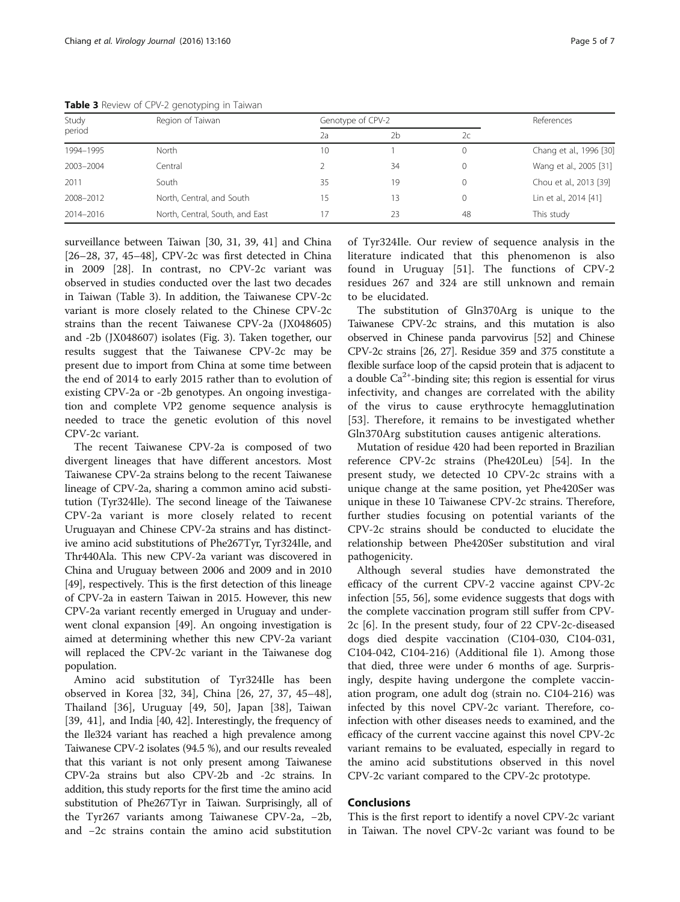| Study<br>period | Region of Taiwan                | Genotype of CPV-2 |    |    | References              |
|-----------------|---------------------------------|-------------------|----|----|-------------------------|
|                 |                                 | 2a                | 2h | 2c |                         |
| 1994-1995       | North                           | 10                |    | 0  | Chang et al., 1996 [30] |
| 2003-2004       | Central                         |                   | 34 | 0  | Wang et al., 2005 [31]  |
| 2011            | South                           | 35                | 19 | 0  | Chou et al., 2013 [39]  |
| 2008-2012       | North, Central, and South       | 15                | 3  | 0  | Lin et al., 2014 [41]   |
| 2014-2016       | North, Central, South, and East |                   | 23 | 48 | This study              |

<span id="page-4-0"></span>Table 3 Review of CPV-2 genotyping in Taiwan

surveillance between Taiwan [[30, 31](#page-6-0), [39](#page-6-0), [41](#page-6-0)] and China [[26](#page-6-0)–[28](#page-6-0), [37](#page-6-0), [45](#page-6-0)–[48\]](#page-6-0), CPV-2c was first detected in China in 2009 [\[28\]](#page-6-0). In contrast, no CPV-2c variant was observed in studies conducted over the last two decades in Taiwan (Table 3). In addition, the Taiwanese CPV-2c variant is more closely related to the Chinese CPV-2c strains than the recent Taiwanese CPV-2a (JX048605) and -2b (JX048607) isolates (Fig. [3\)](#page-3-0). Taken together, our results suggest that the Taiwanese CPV-2c may be present due to import from China at some time between the end of 2014 to early 2015 rather than to evolution of existing CPV-2a or -2b genotypes. An ongoing investigation and complete VP2 genome sequence analysis is needed to trace the genetic evolution of this novel CPV-2c variant.

The recent Taiwanese CPV-2a is composed of two divergent lineages that have different ancestors. Most Taiwanese CPV-2a strains belong to the recent Taiwanese lineage of CPV-2a, sharing a common amino acid substitution (Tyr324Ile). The second lineage of the Taiwanese CPV-2a variant is more closely related to recent Uruguayan and Chinese CPV-2a strains and has distinctive amino acid substitutions of Phe267Tyr, Tyr324Ile, and Thr440Ala. This new CPV-2a variant was discovered in China and Uruguay between 2006 and 2009 and in 2010 [[49](#page-6-0)], respectively. This is the first detection of this lineage of CPV-2a in eastern Taiwan in 2015. However, this new CPV-2a variant recently emerged in Uruguay and underwent clonal expansion [[49](#page-6-0)]. An ongoing investigation is aimed at determining whether this new CPV-2a variant will replaced the CPV-2c variant in the Taiwanese dog population.

Amino acid substitution of Tyr324Ile has been observed in Korea [\[32, 34](#page-6-0)], China [\[26](#page-6-0), [27, 37](#page-6-0), [45](#page-6-0)–[48](#page-6-0)], Thailand [[36\]](#page-6-0), Uruguay [[49, 50\]](#page-6-0), Japan [[38](#page-6-0)], Taiwan [[39, 41](#page-6-0)], and India [[40](#page-6-0), [42\]](#page-6-0). Interestingly, the frequency of the Ile324 variant has reached a high prevalence among Taiwanese CPV-2 isolates (94.5 %), and our results revealed that this variant is not only present among Taiwanese CPV-2a strains but also CPV-2b and -2c strains. In addition, this study reports for the first time the amino acid substitution of Phe267Tyr in Taiwan. Surprisingly, all of the Tyr267 variants among Taiwanese CPV-2a, −2b, and −2c strains contain the amino acid substitution

of Tyr324Ile. Our review of sequence analysis in the literature indicated that this phenomenon is also found in Uruguay [[51](#page-6-0)]. The functions of CPV-2 residues 267 and 324 are still unknown and remain to be elucidated.

The substitution of Gln370Arg is unique to the Taiwanese CPV-2c strains, and this mutation is also observed in Chinese panda parvovirus [[52\]](#page-6-0) and Chinese CPV-2c strains [\[26](#page-6-0), [27](#page-6-0)]. Residue 359 and 375 constitute a flexible surface loop of the capsid protein that is adjacent to a double  $Ca^{2+}$ -binding site; this region is essential for virus infectivity, and changes are correlated with the ability of the virus to cause erythrocyte hemagglutination [[53\]](#page-6-0). Therefore, it remains to be investigated whether Gln370Arg substitution causes antigenic alterations.

Mutation of residue 420 had been reported in Brazilian reference CPV-2c strains (Phe420Leu) [\[54](#page-6-0)]. In the present study, we detected 10 CPV-2c strains with a unique change at the same position, yet Phe420Ser was unique in these 10 Taiwanese CPV-2c strains. Therefore, further studies focusing on potential variants of the CPV-2c strains should be conducted to elucidate the relationship between Phe420Ser substitution and viral pathogenicity.

Although several studies have demonstrated the efficacy of the current CPV-2 vaccine against CPV-2c infection [[55, 56\]](#page-6-0), some evidence suggests that dogs with the complete vaccination program still suffer from CPV-2c [[6\]](#page-5-0). In the present study, four of 22 CPV-2c-diseased dogs died despite vaccination (C104-030, C104-031, C104-042, C104-216) (Additional file [1\)](#page-5-0). Among those that died, three were under 6 months of age. Surprisingly, despite having undergone the complete vaccination program, one adult dog (strain no. C104-216) was infected by this novel CPV-2c variant. Therefore, coinfection with other diseases needs to examined, and the efficacy of the current vaccine against this novel CPV-2c variant remains to be evaluated, especially in regard to the amino acid substitutions observed in this novel CPV-2c variant compared to the CPV-2c prototype.

## Conclusions

This is the first report to identify a novel CPV-2c variant in Taiwan. The novel CPV-2c variant was found to be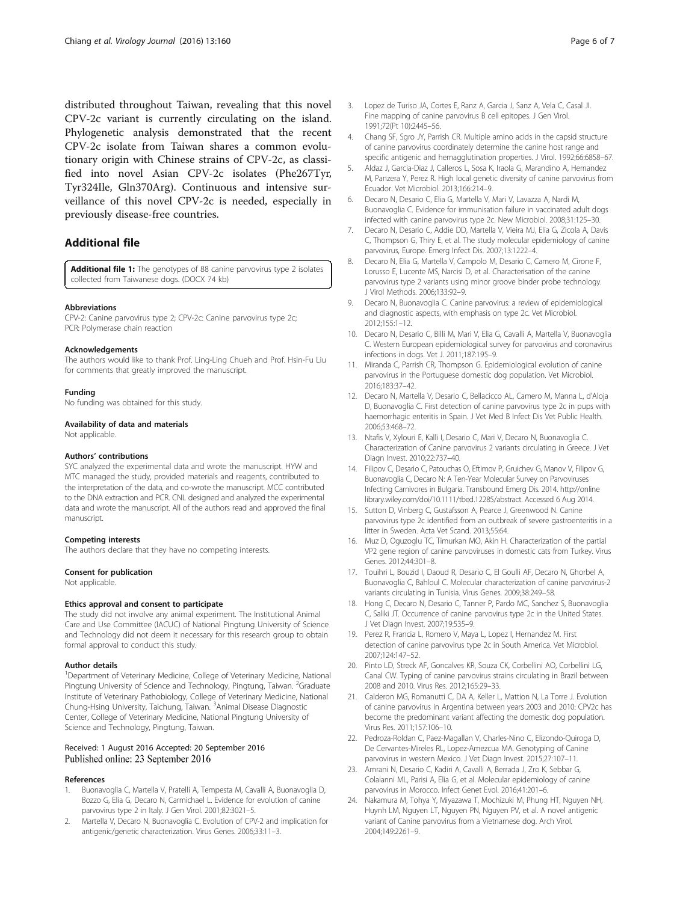<span id="page-5-0"></span>distributed throughout Taiwan, revealing that this novel CPV-2c variant is currently circulating on the island. Phylogenetic analysis demonstrated that the recent CPV-2c isolate from Taiwan shares a common evolutionary origin with Chinese strains of CPV-2c, as classified into novel Asian CPV-2c isolates (Phe267Tyr, Tyr324Ile, Gln370Arg). Continuous and intensive surveillance of this novel CPV-2c is needed, especially in previously disease-free countries.

## Additional file

[Additional file 1:](dx.doi.org/10.1186/s12985-016-0620-5) The genotypes of 88 canine parvovirus type 2 isolates collected from Taiwanese dogs. (DOCX 74 kb)

#### Abbreviations

CPV-2: Canine parvovirus type 2; CPV-2c: Canine parvovirus type 2c; PCR: Polymerase chain reaction

#### Acknowledgements

The authors would like to thank Prof. Ling-Ling Chueh and Prof. Hsin-Fu Liu for comments that greatly improved the manuscript.

#### Funding

No funding was obtained for this study.

Availability of data and materials

Not applicable.

#### Authors' contributions

SYC analyzed the experimental data and wrote the manuscript. HYW and MTC managed the study, provided materials and reagents, contributed to the interpretation of the data, and co-wrote the manuscript. MCC contributed to the DNA extraction and PCR. CNL designed and analyzed the experimental data and wrote the manuscript. All of the authors read and approved the final manuscript.

#### Competing interests

The authors declare that they have no competing interests.

#### Consent for publication

Not applicable.

#### Ethics approval and consent to participate

The study did not involve any animal experiment. The Institutional Animal Care and Use Committee (IACUC) of National Pingtung University of Science and Technology did not deem it necessary for this research group to obtain formal approval to conduct this study.

#### Author details

<sup>1</sup>Department of Veterinary Medicine, College of Veterinary Medicine, National Pingtung University of Science and Technology, Pingtung, Taiwan. <sup>2</sup>Graduate Institute of Veterinary Pathobiology, College of Veterinary Medicine, National Chung-Hsing University, Taichung, Taiwan. <sup>3</sup>Animal Disease Diagnostic Center, College of Veterinary Medicine, National Pingtung University of Science and Technology, Pingtung, Taiwan.

#### Received: 1 August 2016 Accepted: 20 September 2016 Published online: 23 September 2016

#### References

- 1. Buonavoglia C, Martella V, Pratelli A, Tempesta M, Cavalli A, Buonavoglia D, Bozzo G, Elia G, Decaro N, Carmichael L. Evidence for evolution of canine parvovirus type 2 in Italy. J Gen Virol. 2001;82:3021–5.
- 2. Martella V, Decaro N, Buonavoglia C. Evolution of CPV-2 and implication for antigenic/genetic characterization. Virus Genes. 2006;33:11–3.
- 3. Lopez de Turiso JA, Cortes E, Ranz A, Garcia J, Sanz A, Vela C, Casal JI. Fine mapping of canine parvovirus B cell epitopes. J Gen Virol. 1991;72(Pt 10):2445–56.
- 4. Chang SF, Sgro JY, Parrish CR. Multiple amino acids in the capsid structure of canine parvovirus coordinately determine the canine host range and specific antigenic and hemagglutination properties. J Virol. 1992;66:6858–67.
- 5. Aldaz J, Garcia-Diaz J, Calleros L, Sosa K, Iraola G, Marandino A, Hernandez M, Panzera Y, Perez R. High local genetic diversity of canine parvovirus from Ecuador. Vet Microbiol. 2013;166:214–9.
- 6. Decaro N, Desario C, Elia G, Martella V, Mari V, Lavazza A, Nardi M, Buonavoglia C. Evidence for immunisation failure in vaccinated adult dogs infected with canine parvovirus type 2c. New Microbiol. 2008;31:125–30.
- 7. Decaro N, Desario C, Addie DD, Martella V, Vieira MJ, Elia G, Zicola A, Davis C, Thompson G, Thiry E, et al. The study molecular epidemiology of canine parvovirus, Europe. Emerg Infect Dis. 2007;13:1222–4.
- 8. Decaro N, Elia G, Martella V, Campolo M, Desario C, Camero M, Cirone F, Lorusso E, Lucente MS, Narcisi D, et al. Characterisation of the canine parvovirus type 2 variants using minor groove binder probe technology. J Virol Methods. 2006;133:92–9.
- 9. Decaro N, Buonavoglia C. Canine parvovirus: a review of epidemiological and diagnostic aspects, with emphasis on type 2c. Vet Microbiol. 2012;155:1–12.
- 10. Decaro N, Desario C, Billi M, Mari V, Elia G, Cavalli A, Martella V, Buonavoglia C. Western European epidemiological survey for parvovirus and coronavirus infections in dogs. Vet J. 2011;187:195–9.
- 11. Miranda C, Parrish CR, Thompson G. Epidemiological evolution of canine parvovirus in the Portuguese domestic dog population. Vet Microbiol. 2016;183:37–42.
- 12. Decaro N, Martella V, Desario C, Bellacicco AL, Camero M, Manna L, d'Aloja D, Buonavoglia C. First detection of canine parvovirus type 2c in pups with haemorrhagic enteritis in Spain. J Vet Med B Infect Dis Vet Public Health. 2006;53:468–72.
- 13. Ntafis V, Xylouri E, Kalli I, Desario C, Mari V, Decaro N, Buonavoglia C. Characterization of Canine parvovirus 2 variants circulating in Greece. J Vet Diagn Invest. 2010;22:737–40.
- 14. Filipov C, Desario C, Patouchas O, Eftimov P, Gruichev G, Manov V, Filipov G, Buonavoglia C, Decaro N: A Ten-Year Molecular Survey on Parvoviruses Infecting Carnivores in Bulgaria. Transbound Emerg Dis. 2014. [http://online](http://onlinelibrary.wiley.com/doi/10.1111/tbed.12285/abstract) [library.wiley.com/doi/10.1111/tbed.12285/abstract.](http://onlinelibrary.wiley.com/doi/10.1111/tbed.12285/abstract) Accessed 6 Aug 2014.
- 15. Sutton D, Vinberg C, Gustafsson A, Pearce J, Greenwood N. Canine parvovirus type 2c identified from an outbreak of severe gastroenteritis in a litter in Sweden. Acta Vet Scand. 2013;55:64.
- 16. Muz D, Oguzoglu TC, Timurkan MO, Akin H. Characterization of the partial VP2 gene region of canine parvoviruses in domestic cats from Turkey. Virus Genes. 2012;44:301–8.
- 17. Touihri L, Bouzid I, Daoud R, Desario C, El Goulli AF, Decaro N, Ghorbel A, Buonavoglia C, Bahloul C. Molecular characterization of canine parvovirus-2 variants circulating in Tunisia. Virus Genes. 2009;38:249–58.
- 18. Hong C, Decaro N, Desario C, Tanner P, Pardo MC, Sanchez S, Buonavoglia C, Saliki JT. Occurrence of canine parvovirus type 2c in the United States. J Vet Diagn Invest. 2007;19:535–9.
- 19. Perez R, Francia L, Romero V, Maya L, Lopez I, Hernandez M. First detection of canine parvovirus type 2c in South America. Vet Microbiol. 2007;124:147–52.
- 20. Pinto LD, Streck AF, Goncalves KR, Souza CK, Corbellini AO, Corbellini LG, Canal CW. Typing of canine parvovirus strains circulating in Brazil between 2008 and 2010. Virus Res. 2012;165:29–33.
- 21. Calderon MG, Romanutti C, DA A, Keller L, Mattion N, La Torre J. Evolution of canine parvovirus in Argentina between years 2003 and 2010: CPV2c has become the predominant variant affecting the domestic dog population. Virus Res. 2011;157:106–10.
- 22. Pedroza-Roldan C, Paez-Magallan V, Charles-Nino C, Elizondo-Quiroga D, De Cervantes-Mireles RL, Lopez-Amezcua MA. Genotyping of Canine parvovirus in western Mexico. J Vet Diagn Invest. 2015;27:107–11.
- 23. Amrani N, Desario C, Kadiri A, Cavalli A, Berrada J, Zro K, Sebbar G, Colaianni ML, Parisi A, Elia G, et al. Molecular epidemiology of canine parvovirus in Morocco. Infect Genet Evol. 2016;41:201–6.
- 24. Nakamura M, Tohya Y, Miyazawa T, Mochizuki M, Phung HT, Nguyen NH, Huynh LM, Nguyen LT, Nguyen PN, Nguyen PV, et al. A novel antigenic variant of Canine parvovirus from a Vietnamese dog. Arch Virol. 2004;149:2261–9.